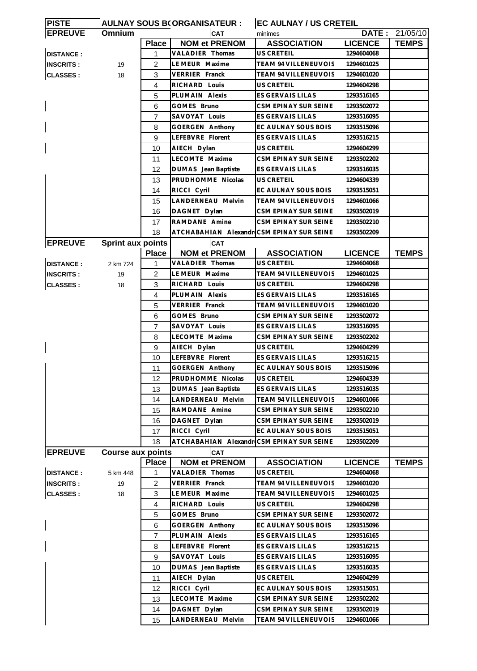| <b>PISTE</b>     |                          |                | <b>AULNAY SOUS B(ORGANISATEUR:</b>        | <b>EC AULNAY / US CRETEIL</b> |                |                |
|------------------|--------------------------|----------------|-------------------------------------------|-------------------------------|----------------|----------------|
| <b>EPREUVE</b>   | <b>Omnium</b>            | <b>CAT</b>     |                                           | minimes                       |                | DATE: 21/05/10 |
|                  |                          | <b>Place</b>   | <b>NOM et PRENOM</b>                      | <b>ASSOCIATION</b>            | <b>LICENCE</b> | <b>TEMPS</b>   |
| <b>DISTANCE:</b> |                          | 1              | VALADIER Thomas                           | US CRETEIL                    | 1294604068     |                |
| <b>INSCRITS:</b> | 19                       | 2              | LE MEUR Maxime                            | <b>TEAM 94 VILLENEUVOIS</b>   | 1294601025     |                |
| <b>CLASSES:</b>  | 18                       | 3              | <b>VERRIER Franck</b>                     | <b>TEAM 94 VILLENEUVOIS</b>   | 1294601020     |                |
|                  |                          | 4              | RICHARD Louis                             | US CRETEIL                    | 1294604298     |                |
|                  |                          | 5              | PLUMAIN Alexis                            | ES GERVAIS LILAS              | 1293516165     |                |
|                  |                          | 6              | GOMES Bruno                               | CSM EPINAY SUR SEINE          | 1293502072     |                |
|                  |                          | 7              | SAVOYAT Louis                             | ES GERVAIS LILAS              | 1293516095     |                |
|                  |                          | 8              | <b>GOERGEN Anthony</b>                    | EC AULNAY SOUS BOIS           | 1293515096     |                |
|                  |                          | 9              | LEFEBVRE Florent                          | ES GERVAIS LILAS              | 1293516215     |                |
|                  |                          | 10             | AIECH Dylan                               | US CRETEIL                    | 1294604299     |                |
|                  |                          | 11             | LECOMTE Maxime                            | CSM EPINAY SUR SEINE          | 1293502202     |                |
|                  |                          | 12             | DUMAS Jean Baptiste                       | ES GERVAIS LILAS              | 1293516035     |                |
|                  |                          | 13             | PRUDHOMME Nicolas                         | US CRETEIL                    | 1294604339     |                |
|                  |                          | 14             | RICCI Cyril                               | EC AULNAY SOUS BOIS           | 1293515051     |                |
|                  |                          | 15             | LANDERNEAU Melvin                         | <b>TEAM 94 VILLENEUVOIS</b>   | 1294601066     |                |
|                  |                          | 16             | DAGNET Dylan                              | CSM EPINAY SUR SEINE          | 1293502019     |                |
|                  |                          |                | RAMDANE Amine                             | CSM EPINAY SUR SEINE          |                |                |
|                  |                          | 17             |                                           |                               | 1293502210     |                |
|                  |                          | 18             | ATCHABAHIAN Alexandr CSM EPINAY SUR SEINE |                               | 1293502209     |                |
| <b>EPREUVE</b>   | <b>Sprint aux points</b> |                | <b>CAT</b>                                |                               |                |                |
|                  |                          | <b>Place</b>   | <b>NOM et PRENOM</b>                      | <b>ASSOCIATION</b>            | <b>LICENCE</b> | <b>TEMPS</b>   |
| <b>DISTANCE:</b> | 2 km 724                 | 1              | VALADIER Thomas                           | US CRETEIL                    | 1294604068     |                |
| <b>INSCRITS:</b> | 19                       | 2              | LE MEUR Maxime                            | TEAM 94 VILLENEUVOIS          | 1294601025     |                |
| <b>CLASSES:</b>  | 18                       | 3              | RICHARD Louis                             | US CRETEIL                    | 1294604298     |                |
|                  |                          | 4              | PLUMAIN Alexis                            | ES GERVAIS LILAS              | 1293516165     |                |
|                  |                          | 5              | <b>VERRIER Franck</b>                     | TEAM 94 VILLENEUVOIS          | 1294601020     |                |
|                  |                          | 6              | GOMES Bruno                               | CSM EPINAY SUR SEINE          | 1293502072     |                |
|                  |                          | 7              | SAVOYAT Louis                             | ES GERVAIS LILAS              | 1293516095     |                |
|                  |                          | 8              | LECOMTE Maxime                            | CSM EPINAY SUR SEINE          | 1293502202     |                |
|                  |                          | 9              | AIECH Dylan                               | US CRETEIL                    | 1294604299     |                |
|                  |                          | 10             | LEFEBVRE Florent                          | ES GERVAIS LILAS              | 1293516215     |                |
|                  |                          | 11             | GOERGEN Anthony                           | EC AULNAY SOUS BOIS           | 1293515096     |                |
|                  |                          | 12             | PRUDHOMME Nicolas                         | US CRETEIL                    | 1294604339     |                |
|                  |                          | 13             | DUMAS Jean Baptiste                       | ES GERVAIS LILAS              | 1293516035     |                |
|                  |                          | 14             | LANDERNEAU Melvin                         | <b>TEAM 94 VILLENEUVOIS</b>   | 1294601066     |                |
|                  |                          | 15             | RAMDANE Amine                             | CSM EPINAY SUR SEINE          | 1293502210     |                |
|                  |                          | 16             | DAGNET Dylan                              | CSM EPINAY SUR SEINE          | 1293502019     |                |
|                  |                          | 17             | RICCI Cyril                               | EC AULNAY SOUS BOIS           | 1293515051     |                |
|                  |                          | 18             | ATCHABAHIAN Alexandr CSM EPINAY SUR SEINE |                               | 1293502209     |                |
| <b>EPREUVE</b>   | <b>Course aux points</b> |                | <b>CAT</b>                                |                               |                |                |
|                  |                          | <b>Place</b>   | <b>NOM et PRENOM</b>                      | <b>ASSOCIATION</b>            | <b>LICENCE</b> | <b>TEMPS</b>   |
| <b>DISTANCE:</b> | 5 km 448                 | 1              | VALADIER Thomas                           | US CRETEIL                    | 1294604068     |                |
| <b>INSCRITS:</b> | 19                       | $\overline{2}$ | <b>VERRIER Franck</b>                     | TEAM 94 VILLENEUVOIS          | 1294601020     |                |
| <b>CLASSES:</b>  | 18                       | 3              | LE MEUR Maxime                            | TEAM 94 VILLENEUVOIS          | 1294601025     |                |
|                  |                          | 4              | RICHARD Louis                             | US CRETEIL                    | 1294604298     |                |
|                  |                          | 5              | GOMES Bruno                               | CSM EPINAY SUR SEINE          | 1293502072     |                |
|                  |                          | 6              | <b>GOERGEN Anthony</b>                    | EC AULNAY SOUS BOIS           | 1293515096     |                |
|                  |                          | $\overline{7}$ | PLUMAIN Alexis                            | ES GERVAIS LILAS              | 1293516165     |                |
|                  |                          | 8              | LEFEBVRE Florent                          | ES GERVAIS LILAS              | 1293516215     |                |
|                  |                          | 9              | SAVOYAT Louis                             | ES GERVAIS LILAS              | 1293516095     |                |
|                  |                          |                |                                           |                               |                |                |
|                  |                          | 10             | DUMAS Jean Baptiste                       | ES GERVAIS LILAS              | 1293516035     |                |
|                  |                          | 11             | AIECH Dylan                               | US CRETEIL                    | 1294604299     |                |
|                  |                          | 12             | RICCI Cyril                               | EC AULNAY SOUS BOIS           | 1293515051     |                |
|                  |                          | 13             | LECOMTE Maxime                            | CSM EPINAY SUR SEINE          | 1293502202     |                |
|                  |                          | 14             | DAGNET Dylan                              | CSM EPINAY SUR SEINE          | 1293502019     |                |
|                  |                          | 15             | LANDERNEAU Melvin                         | TEAM 94 VILLENEUVOIS          | 1294601066     |                |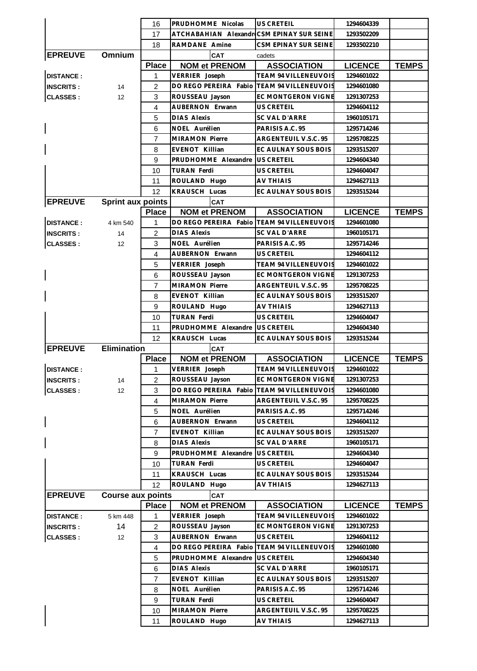|                  |                          | 16             | PRUDHOMME Nicolas                          | <b>US CRETEIL</b>           | 1294604339     |              |
|------------------|--------------------------|----------------|--------------------------------------------|-----------------------------|----------------|--------------|
|                  |                          | 17             | ATCHABAHIAN Alexandr CSM EPINAY SUR SEINE  |                             | 1293502209     |              |
|                  |                          | 18             | RAMDANE Amine                              | <b>CSM EPINAY SUR SEINE</b> | 1293502210     |              |
| <b>EPREUVE</b>   | Omnium                   |                | CAT                                        | cadets                      |                |              |
|                  |                          | <b>Place</b>   | <b>NOM et PRENOM</b>                       | <b>ASSOCIATION</b>          | <b>LICENCE</b> | <b>TEMPS</b> |
| <b>DISTANCE:</b> |                          | 1              | VERRIER Joseph                             | TEAM 94 VILLENEUVOIS        | 1294601022     |              |
| <b>INSCRITS:</b> | 14                       | $\overline{2}$ | DO REGO PEREIRA Fabio                      | TEAM 94 VILLENEUVOIS        | 1294601080     |              |
| <b>CLASSES:</b>  | 12                       | 3              | ROUSSEAU Jayson                            | EC MONTGERON VIGNE          | 1291307253     |              |
|                  |                          | 4              | AUBERNON Erwann                            | <b>US CRETEIL</b>           | 1294604112     |              |
|                  |                          | 5              | <b>DIAS Alexis</b>                         | SC VAL D'ARRE               | 1960105171     |              |
|                  |                          | 6              | NOEL Aurélien                              | PARISIS A.C. 95             | 1295714246     |              |
|                  |                          | $\overline{7}$ | <b>MIRAMON Pierre</b>                      | ARGENTEUIL V.S.C. 95        | 1295708225     |              |
|                  |                          | 8              | EVENOT Killian                             | EC AULNAY SOUS BOIS         | 1293515207     |              |
|                  |                          | 9              | PRUDHOMME Alexandre                        | <b>US CRETEIL</b>           | 1294604340     |              |
|                  |                          | 10             | <b>TURAN Ferdi</b>                         | <b>US CRETEIL</b>           | 1294604047     |              |
|                  |                          | 11             | ROULAND Hugo                               | AV THIAIS                   | 1294627113     |              |
|                  |                          | 12             | <b>KRAUSCH Lucas</b>                       | EC AULNAY SOUS BOIS         | 1293515244     |              |
| <b>EPREUVE</b>   | <b>Sprint aux points</b> |                | CAT                                        |                             |                |              |
|                  |                          | <b>Place</b>   | <b>NOM et PRENOM</b>                       | <b>ASSOCIATION</b>          | <b>LICENCE</b> | <b>TEMPS</b> |
| <b>DISTANCE:</b> | 4 km 540                 | 1              | DO REGO PEREIRA Fabio                      | <b>TEAM 94 VILLENEUVOIS</b> | 1294601080     |              |
| <b>INSCRITS:</b> | 14                       | $\overline{2}$ | <b>DIAS Alexis</b>                         | SC VAL D'ARRE               | 1960105171     |              |
| <b>CLASSES:</b>  | 12                       | 3              | NOEL Aurélien                              | PARISIS A.C. 95             | 1295714246     |              |
|                  |                          | $\overline{4}$ | AUBERNON Erwann                            | <b>US CRETEIL</b>           | 1294604112     |              |
|                  |                          | 5              | VERRIER Joseph                             | TEAM 94 VILLENEUVOIS        | 1294601022     |              |
|                  |                          | 6              | ROUSSEAU Jayson                            | EC MONTGERON VIGNE          | 1291307253     |              |
|                  |                          | $\overline{7}$ | <b>MIRAMON Pierre</b>                      | ARGENTEUIL V.S.C. 95        | 1295708225     |              |
|                  |                          | 8              | EVENOT Killian                             | EC AULNAY SOUS BOIS         | 1293515207     |              |
|                  |                          | 9              | ROULAND Hugo                               | <b>AV THIAIS</b>            | 1294627113     |              |
|                  |                          | 10             | TURAN Ferdi                                | US CRETEIL                  | 1294604047     |              |
|                  |                          | 11             | PRUDHOMME Alexandre                        | <b>US CRETEIL</b>           | 1294604340     |              |
|                  |                          | 12             | KRAUSCH Lucas                              | EC AULNAY SOUS BOIS         | 1293515244     |              |
| <b>EPREUVE</b>   | <b>Elimination</b>       |                | CAT                                        |                             |                |              |
|                  |                          | <b>Place</b>   | <b>NOM et PRENOM</b>                       | <b>ASSOCIATION</b>          | <b>LICENCE</b> | <b>TEMPS</b> |
| <b>DISTANCE:</b> |                          | 1              | VERRIER Joseph                             | <b>TEAM 94 VILLENEUVOIS</b> | 1294601022     |              |
| <b>INSCRITS:</b> | 14                       | 2              | ROUSSEAU Jayson                            | EC MONTGERON VIGNE          | 1291307253     |              |
| <b>CLASSES:</b>  | 12                       | 3              | DO REGO PEREIRA Fabio TEAM 94 VILLENEUVOIS |                             | 1294601080     |              |
|                  |                          | 4              | <b>MIRAMON Pierre</b>                      | ARGENTEUIL V.S.C. 95        | 1295708225     |              |
|                  |                          | 5              | NOEL Aurélien                              | PARISIS A.C. 95             | 1295714246     |              |
|                  |                          | 6              | AUBERNON Erwann                            | US CRETEIL                  | 1294604112     |              |
|                  |                          | $\overline{7}$ | EVENOT Killian                             | EC AULNAY SOUS BOIS         | 1293515207     |              |
|                  |                          | 8              | <b>DIAS Alexis</b>                         | SC VAL D'ARRE               | 1960105171     |              |
|                  |                          | 9              | PRUDHOMME Alexandre                        | US CRETEIL                  | 1294604340     |              |
|                  |                          | 10             | <b>TURAN Ferdi</b>                         | US CRETEIL                  | 1294604047     |              |
|                  |                          | 11             | KRAUSCH Lucas                              | EC AULNAY SOUS BOIS         | 1293515244     |              |
|                  |                          | 12             | ROULAND Hugo                               | AV THIAIS                   | 1294627113     |              |
| <b>EPREUVE</b>   | <b>Course aux points</b> |                | <b>CAT</b>                                 |                             |                |              |
|                  |                          | <b>Place</b>   | <b>NOM et PRENOM</b>                       | <b>ASSOCIATION</b>          | <b>LICENCE</b> | <b>TEMPS</b> |
| <b>DISTANCE:</b> | 5 km 448                 | 1              | VERRIER Joseph                             | <b>TEAM 94 VILLENEUVOIS</b> | 1294601022     |              |
| <b>INSCRITS:</b> | 14                       | $\overline{c}$ | ROUSSEAU Jayson                            | EC MONTGERON VIGNE          | 1291307253     |              |
| <b>CLASSES:</b>  | 12                       | 3              | AUBERNON Erwann                            | US CRETEIL                  | 1294604112     |              |
|                  |                          | 4              | DO REGO PEREIRA Fabio                      | <b>TEAM 94 VILLENEUVOIS</b> | 1294601080     |              |
|                  |                          | 5              | PRUDHOMME Alexandre                        | US CRETEIL                  | 1294604340     |              |
|                  |                          | 6              | <b>DIAS Alexis</b>                         | SC VAL D'ARRE               | 1960105171     |              |
|                  |                          | 7              | EVENOT Killian                             | EC AULNAY SOUS BOIS         | 1293515207     |              |
|                  |                          | 8              | NOEL Aurélien                              | PARISIS A.C. 95             | 1295714246     |              |
|                  |                          | 9              | <b>TURAN Ferdi</b>                         | US CRETEIL                  | 1294604047     |              |
|                  |                          | 10             | MIRAMON Pierre                             | ARGENTEUIL V.S.C. 95        | 1295708225     |              |
|                  |                          | 11             | ROULAND Hugo                               | <b>AV THIAIS</b>            | 1294627113     |              |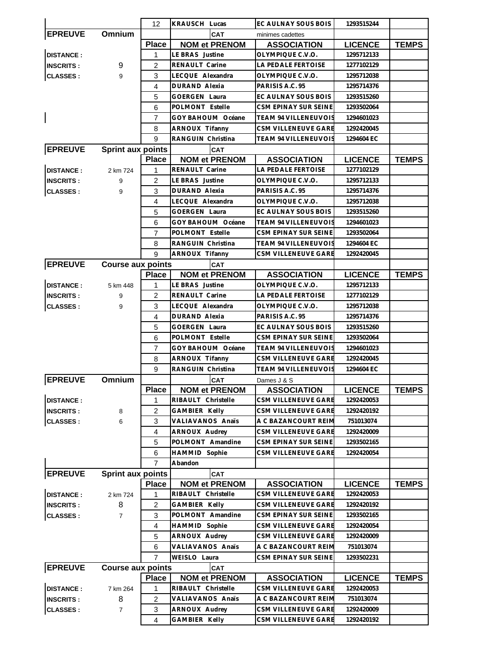|                          |                          | 12             | KRAUSCH Lucas        |                      | EC AULNAY SOUS BOIS         | 1293515244     |              |
|--------------------------|--------------------------|----------------|----------------------|----------------------|-----------------------------|----------------|--------------|
| <b>EPREUVE</b>           | Omnium                   |                |                      | <b>CAT</b>           | minimes cadettes            |                |              |
|                          |                          | <b>Place</b>   |                      | <b>NOM et PRENOM</b> | <b>ASSOCIATION</b>          | <b>LICENCE</b> | <b>TEMPS</b> |
| <b>DISTANCE:</b>         |                          | 1              | LE BRAS Justine      |                      | OLYMPIQUE C.V.O.            | 1295712133     |              |
| <b>INSCRITS:</b>         | 9                        | 2              | RENAULT Carine       |                      | LA PEDALE FERTOISE          | 1277102129     |              |
| <b>CLASSES:</b>          | 9                        | 3              | LECQUE Alexandra     |                      | OLYMPIQUE C.V.O.            | 1295712038     |              |
|                          |                          | 4              | <b>DURAND Alexia</b> |                      | PARISIS A.C. 95             | 1295714376     |              |
|                          |                          | 5              | <b>GOERGEN Laura</b> |                      | EC AULNAY SOUS BOIS         | 1293515260     |              |
|                          |                          | 6              | POLMONT Estelle      |                      | CSM EPINAY SUR SEINE        | 1293502064     |              |
| $\overline{\phantom{a}}$ |                          | $\overline{7}$ | GOY BAHOUM Océane    |                      | <b>TEAM 94 VILLENEUVOIS</b> | 1294601023     |              |
|                          |                          | 8              | ARNOUX Tifanny       |                      | CSM VILLENEUVE GARE         | 1292420045     |              |
|                          |                          | 9              | RANGUIN Christina    |                      | <b>TEAM 94 VILLENEUVOIS</b> | 1294604 EC     |              |
| <b>EPREUVE</b>           | <b>Sprint aux points</b> |                |                      | <b>CAT</b>           |                             |                |              |
|                          |                          | <b>Place</b>   |                      | <b>NOM et PRENOM</b> | <b>ASSOCIATION</b>          | <b>LICENCE</b> | <b>TEMPS</b> |
| <b>DISTANCE:</b>         | 2 km 724                 | 1              | RENAULT Carine       |                      | LA PEDALE FERTOISE          | 1277102129     |              |
| <b>INSCRITS:</b>         | 9                        | 2              | LE BRAS Justine      |                      | OLYMPIQUE C.V.O.            | 1295712133     |              |
| <b>CLASSES:</b>          | 9                        | 3              | <b>DURAND Alexia</b> |                      | PARISIS A.C. 95             | 1295714376     |              |
|                          |                          | 4              | LECQUE Alexandra     |                      | OLYMPIQUE C.V.O.            | 1295712038     |              |
|                          |                          | 5              | <b>GOERGEN Laura</b> |                      | EC AULNAY SOUS BOIS         | 1293515260     |              |
|                          |                          | 6              | GOY BAHOUM Océane    |                      | <b>TEAM 94 VILLENEUVOIS</b> | 1294601023     |              |
|                          |                          | 7              | POLMONT Estelle      |                      | CSM EPINAY SUR SEINE        | 1293502064     |              |
|                          |                          | 8              | RANGUIN Christina    |                      | <b>TEAM 94 VILLENEUVOIS</b> | 1294604 EC     |              |
|                          |                          | 9              | ARNOUX Tifanny       |                      | CSM VILLENEUVE GARE         | 1292420045     |              |
| <b>EPREUVE</b>           | <b>Course aux points</b> |                |                      | <b>CAT</b>           |                             |                |              |
|                          |                          | <b>Place</b>   |                      | <b>NOM et PRENOM</b> | <b>ASSOCIATION</b>          | <b>LICENCE</b> | <b>TEMPS</b> |
| <b>DISTANCE:</b>         | 5 km 448                 | 1              | LE BRAS Justine      |                      | OLYMPIQUE C.V.O.            | 1295712133     |              |
| <b>INSCRITS:</b>         | 9                        | 2              | RENAULT Carine       |                      | LA PEDALE FERTOISE          | 1277102129     |              |
| <b>CLASSES:</b>          | 9                        | 3              | LECQUE Alexandra     |                      | OLYMPIQUE C.V.O.            | 1295712038     |              |
|                          |                          | 4              | <b>DURAND Alexia</b> |                      | PARISIS A.C. 95             | 1295714376     |              |
|                          |                          | 5              | <b>GOERGEN Laura</b> |                      | EC AULNAY SOUS BOIS         | 1293515260     |              |
|                          |                          | 6              | POLMONT Estelle      |                      | CSM EPINAY SUR SEINE        | 1293502064     |              |
|                          |                          | 7              | GOY BAHOUM Océane    |                      | TEAM 94 VILLENEUVOIS        | 1294601023     |              |
|                          |                          | 8              | ARNOUX Tifanny       |                      | <b>CSM VILLENEUVE GARE</b>  | 1292420045     |              |
|                          |                          | 9              | RANGUIN Christina    |                      | <b>TEAM 94 VILLENEUVOIS</b> | 1294604 EC     |              |
| <b>EPREUVE</b>           | Omnium                   |                |                      | <b>CAT</b>           | Dames J & S                 |                |              |
|                          |                          | <b>Place</b>   |                      | <b>NOM et PRENOM</b> | <b>ASSOCIATION</b>          | <b>LICENCE</b> | <b>TEMPS</b> |
| <b>DISTANCE:</b>         |                          | 1              | RIBAULT Christelle   |                      | CSM VILLENEUVE GARE         | 1292420053     |              |
| <b>INSCRITS:</b>         | 8                        | 2              | <b>GAMBIER Kelly</b> |                      | CSM VILLENEUVE GARE         | 1292420192     |              |
| <b>CLASSES:</b>          | 6                        | 3              | VALIAVANOS Anaïs     |                      | A C BAZANCOURT REIM         | 751013074      |              |
|                          |                          | 4              | ARNOUX Audrey        |                      | CSM VILLENEUVE GARE         | 1292420009     |              |
|                          |                          | 5              | POLMONT Amandine     |                      | CSM EPINAY SUR SEINE        | 1293502165     |              |
|                          |                          | 6              | HAMMID Sophie        |                      | CSM VILLENEUVE GARE         | 1292420054     |              |
|                          |                          | $\overline{7}$ | Abandon              |                      |                             |                |              |
| <b>EPREUVE</b>           | <b>Sprint aux points</b> |                |                      | CAT                  |                             |                |              |
|                          |                          | <b>Place</b>   |                      | <b>NOM et PRENOM</b> | <b>ASSOCIATION</b>          | <b>LICENCE</b> | <b>TEMPS</b> |
| <b>DISTANCE:</b>         | 2 km 724                 | 1              | RIBAULT Christelle   |                      | CSM VILLENEUVE GARE         | 1292420053     |              |
| <b>INSCRITS:</b>         | 8                        | $\overline{c}$ | GAMBIER Kelly        |                      | CSM VILLENEUVE GARE         | 1292420192     |              |
| <b>CLASSES:</b>          | $\overline{7}$           | 3              | POLMONT Amandine     |                      | CSM EPINAY SUR SEINE        | 1293502165     |              |
|                          |                          | 4              | HAMMID Sophie        |                      | CSM VILLENEUVE GARE         | 1292420054     |              |
|                          |                          | 5              | ARNOUX Audrey        |                      | CSM VILLENEUVE GARE         | 1292420009     |              |
|                          |                          | 6              | VALIAVANOS Anaïs     |                      | A C BAZANCOURT REIM         | 751013074      |              |
|                          |                          | 7              | WEISLO Laura         |                      | CSM EPINAY SUR SEINE        | 1293502231     |              |
| <b>EPREUVE</b>           | <b>Course aux points</b> |                |                      | <b>CAT</b>           |                             |                |              |
|                          |                          | <b>Place</b>   |                      | <b>NOM et PRENOM</b> | <b>ASSOCIATION</b>          | <b>LICENCE</b> | <b>TEMPS</b> |
| <b>DISTANCE:</b>         | 7 km 264                 | 1              | RIBAULT Christelle   |                      | CSM VILLENEUVE GARE         | 1292420053     |              |
| <b>INSCRITS:</b>         | 8                        | $\overline{c}$ | VALIAVANOS Anaïs     |                      | A C BAZANCOURT REIM         | 751013074      |              |
| <b>CLASSES:</b>          | 7                        | 3              | ARNOUX Audrey        |                      | CSM VILLENEUVE GARE         | 1292420009     |              |
|                          |                          | 4              | GAMBIER Kelly        |                      | CSM VILLENEUVE GARE         | 1292420192     |              |
|                          |                          |                |                      |                      |                             |                |              |